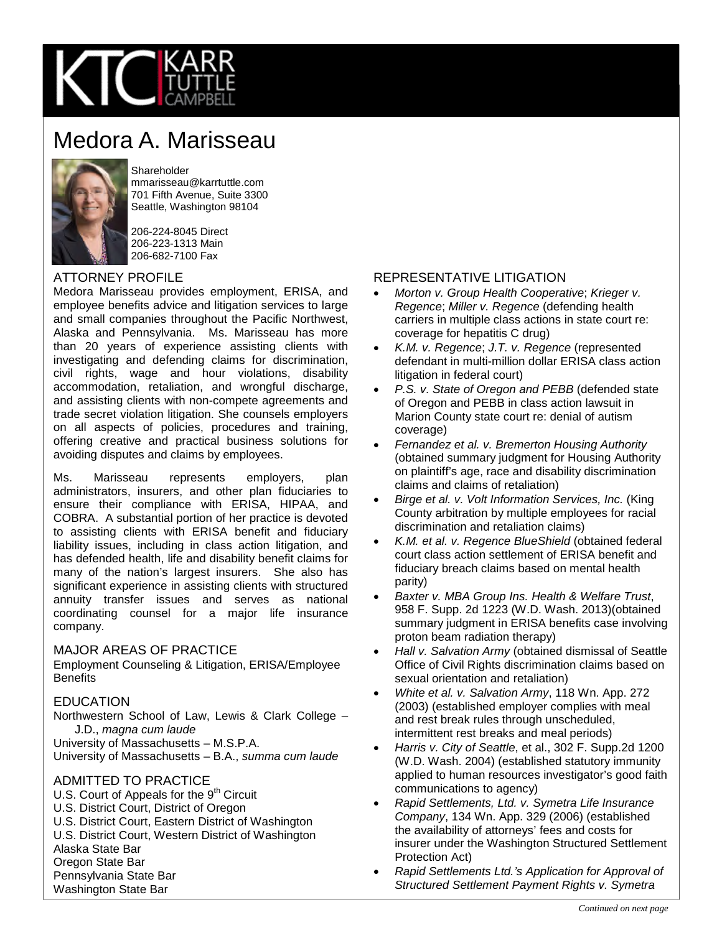

# Medora A. Marisseau



Shareholder mmarisseau@karrtuttle.com 701 Fifth Avenue, Suite 3300 Seattle, Washington 98104

206-224-8045 Direct 206-223-1313 Main 206-682-7100 Fax

#### ATTORNEY PROFILE

Medora Marisseau provides employment, ERISA, and employee benefits advice and litigation services to large and small companies throughout the Pacific Northwest, Alaska and Pennsylvania. Ms. Marisseau has more than 20 years of experience assisting clients with investigating and defending claims for discrimination, civil rights, wage and hour violations, disability accommodation, retaliation, and wrongful discharge, and assisting clients with non-compete agreements and trade secret violation litigation. She counsels employers on all aspects of policies, procedures and training, offering creative and practical business solutions for avoiding disputes and claims by employees.

Ms. Marisseau represents employers, plan administrators, insurers, and other plan fiduciaries to ensure their compliance with ERISA, HIPAA, and COBRA. A substantial portion of her practice is devoted to assisting clients with ERISA benefit and fiduciary liability issues, including in class action litigation, and has defended health, life and disability benefit claims for many of the nation's largest insurers. She also has significant experience in assisting clients with structured annuity transfer issues and serves as national coordinating counsel for a major life insurance company.

#### MAJOR AREAS OF PRACTICE

Employment Counseling & Litigation, ERISA/Employee **Benefits** 

#### EDUCATION

Northwestern School of Law, Lewis & Clark College – J.D., *magna cum laude*

University of Massachusetts – M.S.P.A.

University of Massachusetts – B.A., *summa cum laude*

#### ADMITTED TO PRACTICE

- U.S. Court of Appeals for the  $9<sup>th</sup>$  Circuit
- U.S. District Court, District of Oregon
- U.S. District Court, Eastern District of Washington
- U.S. District Court, Western District of Washington

Alaska State Bar

Oregon State Bar

Pennsylvania State Bar

Washington State Bar

### REPRESENTATIVE LITIGATION

- *Morton v. Group Health Cooperative*; *Krieger v. Regence*; *Miller v. Regence* (defending health carriers in multiple class actions in state court re: coverage for hepatitis C drug)
- *K.M. v. Regence*; *J.T. v. Regence* (represented defendant in multi-million dollar ERISA class action litigation in federal court)
- *P.S. v. State of Oregon and PEBB* (defended state of Oregon and PEBB in class action lawsuit in Marion County state court re: denial of autism coverage)
- *Fernandez et al. v. Bremerton Housing Authority* (obtained summary judgment for Housing Authority on plaintiff's age, race and disability discrimination claims and claims of retaliation)
- *Birge et al. v. Volt Information Services, Inc.* (King County arbitration by multiple employees for racial discrimination and retaliation claims)
- *K.M. et al. v. Regence BlueShield* (obtained federal court class action settlement of ERISA benefit and fiduciary breach claims based on mental health parity)
- *Baxter v. MBA Group Ins. Health & Welfare Trust*, 958 F. Supp. 2d 1223 (W.D. Wash. 2013)(obtained summary judgment in ERISA benefits case involving proton beam radiation therapy)
- *Hall v. Salvation Army* (obtained dismissal of Seattle Office of Civil Rights discrimination claims based on sexual orientation and retaliation)
- *White et al. v. Salvation Army*, 118 Wn. App. 272 (2003) (established employer complies with meal and rest break rules through unscheduled, intermittent rest breaks and meal periods)
- *Harris v. City of Seattle*, et al., 302 F. Supp.2d 1200 (W.D. Wash. 2004) (established statutory immunity applied to human resources investigator's good faith communications to agency)
- *Rapid Settlements, Ltd. v. Symetra Life Insurance Company*, 134 Wn. App. 329 (2006) (established the availability of attorneys' fees and costs for insurer under the Washington Structured Settlement Protection Act)
- *Rapid Settlements Ltd.'s Application for Approval of Structured Settlement Payment Rights v. Symetra*